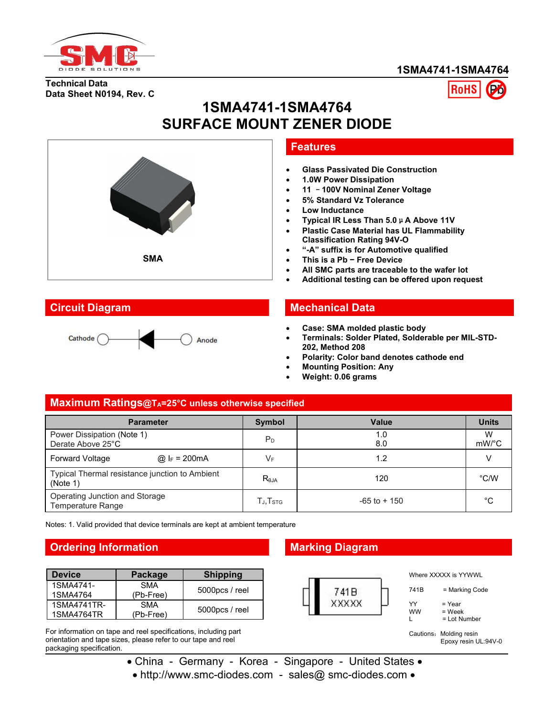

#### **1SMA4741-1SMA4764**

**Technical Data Data Sheet N0194, Rev. C**



# **1SMA4741-1SMA4764 SURFACE MOUNT ZENER DIODE**





#### **Features**

- **Glass Passivated Die Construction**
- **1.0W Power Dissipation**
- **11** –**100V Nominal Zener Voltage**
- **5% Standard Vz Tolerance**
- **Low Inductance**
- **Typical IR Less Than 5.0**μ**A Above 11V**
- **Plastic Case Material has UL Flammability Classification Rating 94V-O**
- **"-A" suffix is for Automotive qualified**
- **This is a Pb − Free Device**
- **All SMC parts are traceable to the wafer lot**
- **Additional testing can be offered upon request**

#### **Circuit Diagram Mechanical Data**

- **Case: SMA molded plastic body**
- **Terminals: Solder Plated, Solderable per MIL-STD- 202, Method 208**
- **Polarity: Color band denotes cathode end**
- **Mounting Position: Any**
- **Weight: 0.06 grams**

#### **Maximum Ratings@TA=25°C unless otherwise specified**

| <b>Parameter</b>                                           |                         | Symbol                             | Value           | <b>Units</b>  |
|------------------------------------------------------------|-------------------------|------------------------------------|-----------------|---------------|
| Power Dissipation (Note 1)<br>Derate Above 25°C            |                         | $P_D$                              | 1.0<br>8.0      | W<br>mW/°C    |
| <b>Forward Voltage</b>                                     | @ $I_F = 200 \text{mA}$ | VF                                 | 1.2             |               |
| Typical Thermal resistance junction to Ambient<br>(Note 1) |                         | $R_{\theta$ JA                     | 120             | $\degree$ C/W |
| Operating Junction and Storage<br>Temperature Range        |                         | $T_{\mathsf{J}}, T_{\mathsf{STG}}$ | $-65$ to $+150$ | $^{\circ}C$   |

Notes: 1. Valid provided that device terminals are kept at ambient temperature

# **Ordering Information Marking Diagram**

| <b>Device</b>         | Package                 | <b>Shipping</b>   |  |
|-----------------------|-------------------------|-------------------|--|
| 1SMA4741-<br>1SMA4764 | <b>SMA</b><br>(Pb-Free) | 5000pcs / reel    |  |
| 1SMA4741TR-           | <b>SMA</b>              |                   |  |
| 1SMA4764TR            | (Pb-Free)               | $5000$ pcs / reel |  |

For information on tape and reel specifications, including part orientation and tape sizes, please refer to our tape and reel packaging specification.



Where XXXXX is YYWWL

| 741B            | = Marking Code                   |
|-----------------|----------------------------------|
| YY<br><b>WW</b> | = Year<br>= Week<br>= Lot Number |

Cautions: Molding resin

Epoxy resin UL:94V-0

• China - Germany - Korea - Singapore - United States •

• http://www.smc-diodes.com - sales@ smc-diodes.com •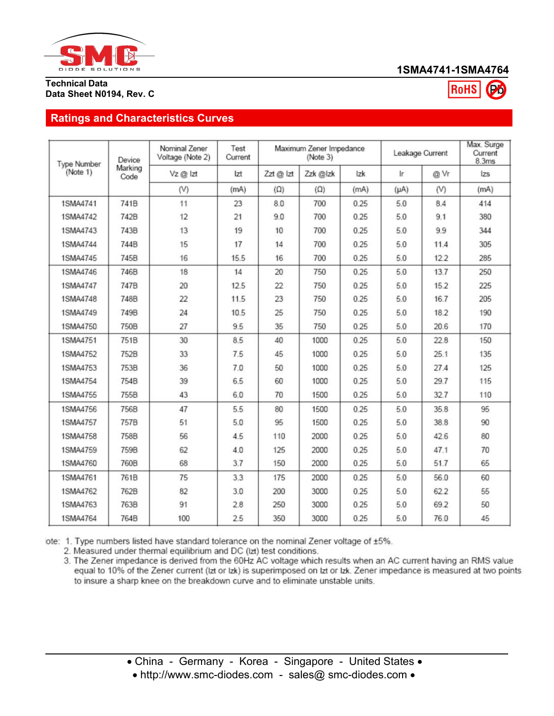

### **1SMA4741-1SMA4764**

**RoHS** 

#### **Technical Data Data Sheet N0194, Rev. C**

## **Ratings and Characteristics Curves**

| <b>Type Number</b> | Device          | Nominal Zener<br>Voltage (Note 2) | Test<br>Current |            | Maximum Zener Impedance<br>(Note 3) |      |           | Leakage Current | Max. Surge<br>Current<br>8.3ms |
|--------------------|-----------------|-----------------------------------|-----------------|------------|-------------------------------------|------|-----------|-----------------|--------------------------------|
| (Note 1)           | Marking<br>Code | Vz@lzt                            | Izt             | Zzt @ Izt  | Zzk @lzk                            | Izk  | Ir.       | @ Vr            | zs                             |
|                    |                 | (V)                               | (mA)            | $(\Omega)$ | $(\Omega)$                          | (mA) | $(\mu A)$ | (V)             | (mA)                           |
| 1SMA4741           | 741B            | 11                                | 23              | 8.0        | 700                                 | 0.25 | 5.0       | 8.4             | 414                            |
| 1SMA4742           | 742B            | 12                                | 21              | 9.0        | 700                                 | 0.25 | 5.0       | 9.1             | 380                            |
| 1SMA4743           | 743B            | 13                                | 19              | 10         | 700                                 | 0.25 | 5.0       | 9.9             | 344                            |
| 1SMA4744           | 744B            | 15                                | 17              | 14         | 700                                 | 0.25 | 5.0       | 11.4            | 305                            |
| 1SMA4745           | 745B            | 16                                | 15.5            | 16         | 700                                 | 0.25 | 5.0       | 122             | 285                            |
| 1SMA4746           | 746B            | 18                                | 14              | 20         | 750                                 | 0.25 | 5.0       | 13.7            | 250                            |
| 1SMA4747           | 747B            | 20                                | 12.5            | 22         | 750                                 | 0.25 | 5.0       | 15.2            | 225                            |
| 1SMA4748           | <b>748B</b>     | 22                                | 11.5            | 23         | 750                                 | 0.25 | 5.0       | 16.7            | 205                            |
| 1SMA4749           | 749B            | 24                                | 10.5            | 25         | 750                                 | 0.25 | 5.0       | 18.2            | 190                            |
| 1SMA4750           | 750B            | 27                                | 9.5             | 35         | 750                                 | 0.25 | 5.0       | 20.6            | 170                            |
| 1SMA4751           | 751B            | 30                                | 8.5             | 40         | 1000                                | 0.25 | 5.0       | 22.8            | 150                            |
| 1SMA4752           | 752B            | 33                                | 7.5             | 45         | 1000                                | 0.25 | 5.0       | 25.1            | 135                            |
| 1SMA4753           | 753B            | 36                                | 7.0             | 50         | 1000                                | 0.25 | 5.0       | 27.4            | 125                            |
| 1SMA4754           | 754B            | 39                                | 6.5             | 60         | 1000                                | 0.25 | 5.0       | 29.7            | 115                            |
| 1SMA4755           | 755B            | 43                                | 6.0             | 70         | 1500                                | 0.25 | 5.0       | 32.7            | 110                            |
| 1SMA4756           | 756B            | 47                                | 5.5             | 80         | 1500                                | 0.25 | 5.0       | 35.8            | 95                             |
| 1SMA4757           | 757B            | 51                                | 5.0             | 95         | 1500                                | 0.25 | 5.0       | 38.8            | 90                             |
| 1SMA4758           | 758B            | 56                                | 4.5             | 110        | 2000                                | 0.25 | 5.0       | 42.6            | 80                             |
| 1SMA4759           | 759B            | 62                                | 4.0             | 125        | 2000                                | 0.25 | 5.0       | 47.1            | 70                             |
| 1SMA4760           | 760B            | 68                                | 3.7             | 150        | 2000                                | 0.25 | 5.0       | 51.7            | 65                             |
| 1SMA4761           | 761B            | 75                                | 3.3             | 175        | 2000                                | 0.25 | 5.0       | 56.0            | 60                             |
| 1SMA4762           | 762B            | 82                                | 3.0             | 200        | 3000                                | 0.25 | 5.0       | 62.2            | 55                             |
| 1SMA4763           | 763B            | 91                                | 2.8             | 250        | 3000                                | 0.25 | 5.0       | 69.2            | 50                             |
| 1SMA4764           | 764B            | 100                               | 2.5             | 350        | 3000                                | 0.25 | 5.0       | 76.0            | 45                             |

ote: 1. Type numbers listed have standard tolerance on the nominal Zener voltage of ±5%.

2. Measured under thermal equilibrium and DC (lzt) test conditions.

3. The Zener impedance is derived from the 60Hz AC voltage which results when an AC current having an RMS value equal to 10% of the Zener current (Izt or Izk) is superimposed on Izt or Izk. Zener impedance is measured at two points to insure a sharp knee on the breakdown curve and to eliminate unstable units.

<sup>•</sup> China - Germany - Korea - Singapore - United States •

<sup>•</sup> http://www.smc-diodes.com - sales@ smc-diodes.com •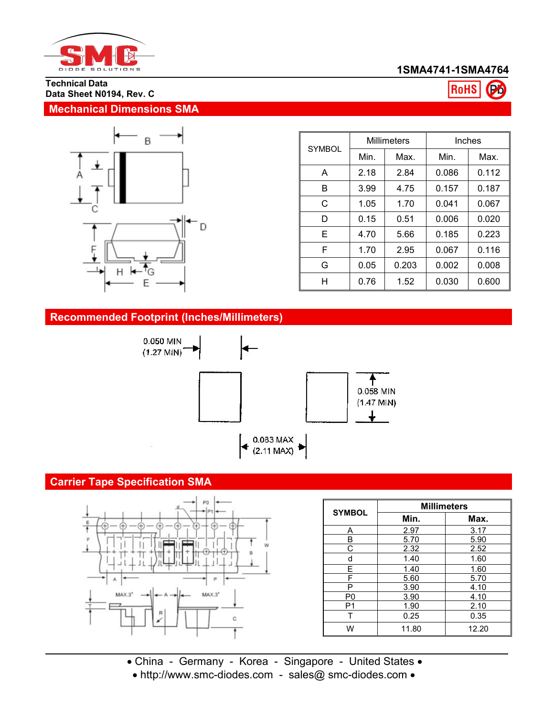

# **1SMA4741-1SMA4764**

**RoHS** 

(Po

#### **Technical Data Data Sheet N0194, Rev. C**

# **Mechanical Dimensions SMA**



| <b>SYMBOL</b> | <b>Millimeters</b> |       | Inches |       |
|---------------|--------------------|-------|--------|-------|
|               | Min.               | Max.  | Min.   | Max.  |
| A             | 2.18               | 2.84  | 0.086  | 0.112 |
| B             | 3.99               | 4.75  | 0.157  | 0.187 |
| C             | 1.05               | 1.70  | 0.041  | 0.067 |
| D             | 0.15               | 0.51  | 0.006  | 0.020 |
| E             | 4.70               | 5.66  | 0.185  | 0.223 |
| F             | 1.70               | 2.95  | 0.067  | 0.116 |
| G             | 0.05               | 0.203 | 0.002  | 0.008 |
| H             | 0.76               | 1.52  | 0.030  | 0.600 |

# **Recommended Footprint (Inches/Millimeters)**



# **Carrier Tape Specification SMA**



| <b>SYMBOL</b>  | <b>Millimeters</b> |       |  |  |  |
|----------------|--------------------|-------|--|--|--|
|                | Min.               | Max.  |  |  |  |
| A              | 2.97               | 3.17  |  |  |  |
| B              | 5.70               | 5.90  |  |  |  |
| С              | 2.32               | 2.52  |  |  |  |
| d              | 1.40               | 1.60  |  |  |  |
| E              | 1.40               | 1.60  |  |  |  |
| F              | 5.60               | 5.70  |  |  |  |
| P              | 3.90               | 4.10  |  |  |  |
| P <sub>0</sub> | 3.90               | 4.10  |  |  |  |
| P <sub>1</sub> | 1.90               | 2.10  |  |  |  |
|                | 0.25               | 0.35  |  |  |  |
| W              | 11.80              | 12.20 |  |  |  |

China - Germany - Korea - Singapore - United States

• http://www.smc-diodes.com - sales@ smc-diodes.com •